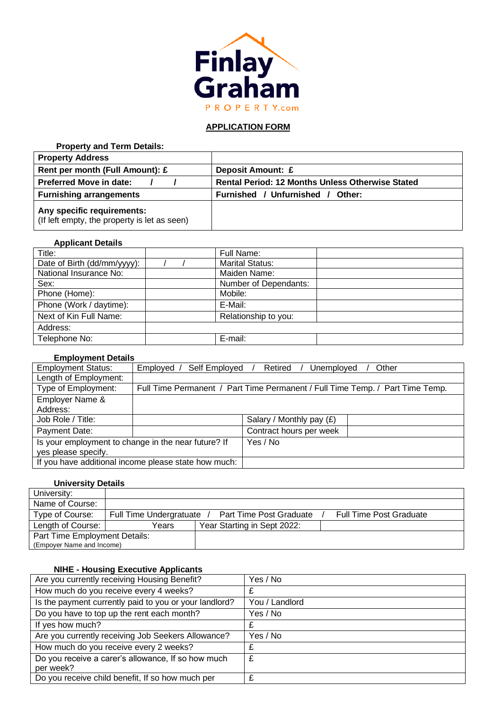

# **APPLICATION FORM**

| <b>Property and Term Details:</b>                                          |                                                         |
|----------------------------------------------------------------------------|---------------------------------------------------------|
| <b>Property Address</b>                                                    |                                                         |
| Rent per month (Full Amount): £                                            | Deposit Amount: £                                       |
| <b>Preferred Move in date:</b>                                             | <b>Rental Period: 12 Months Unless Otherwise Stated</b> |
| <b>Furnishing arrangements</b>                                             | Furnished / Unfurnished /<br>Other:                     |
| Any specific requirements:<br>(If left empty, the property is let as seen) |                                                         |

### **Applicant Details**

| Title:                      |  | Full Name:             |  |
|-----------------------------|--|------------------------|--|
| Date of Birth (dd/mm/yyyy): |  | <b>Marital Status:</b> |  |
| National Insurance No:      |  | Maiden Name:           |  |
| Sex:                        |  | Number of Dependants:  |  |
| Phone (Home):               |  | Mobile:                |  |
| Phone (Work / daytime):     |  | E-Mail:                |  |
| Next of Kin Full Name:      |  | Relationship to you:   |  |
| Address:                    |  |                        |  |
| Telephone No:               |  | E-mail:                |  |

### **Employment Details**

| <b>Employment Status:</b> | Self Employed<br>Employed /                          | Other<br>Retired<br>Unemployed                                                |
|---------------------------|------------------------------------------------------|-------------------------------------------------------------------------------|
| Length of Employment:     |                                                      |                                                                               |
| Type of Employment:       |                                                      | Full Time Permanent / Part Time Permanent / Full Time Temp. / Part Time Temp. |
| Employer Name &           |                                                      |                                                                               |
| Address:                  |                                                      |                                                                               |
| Job Role / Title:         |                                                      | Salary / Monthly pay $(E)$                                                    |
| Payment Date:             |                                                      | Contract hours per week                                                       |
|                           | Is your employment to change in the near future? If  | Yes / No                                                                      |
| yes please specify.       |                                                      |                                                                               |
|                           | If you have additional income please state how much: |                                                                               |

### **University Details**

| University:                   |                         |                                                           |
|-------------------------------|-------------------------|-----------------------------------------------------------|
| Name of Course:               |                         |                                                           |
| Type of Course:               | Full Time Undergratuate | Part Time Post Graduate<br><b>Full Time Post Graduate</b> |
| Length of Course:             | Years                   | Year Starting in Sept 2022:                               |
| Part Time Employment Details: |                         |                                                           |
| (Empoyer Name and Income)     |                         |                                                           |

## **NIHE - Housing Executive Applicants**

| Are you currently receiving Housing Benefit?           | Yes / No       |
|--------------------------------------------------------|----------------|
| How much do you receive every 4 weeks?                 |                |
| Is the payment currently paid to you or your landlord? | You / Landlord |
| Do you have to top up the rent each month?             | Yes / No       |
| If yes how much?                                       |                |
| Are you currently receiving Job Seekers Allowance?     | Yes / No       |
| How much do you receive every 2 weeks?                 | £              |
| Do you receive a carer's allowance, If so how much     | £              |
| per week?                                              |                |
| Do you receive child benefit, If so how much per       | £              |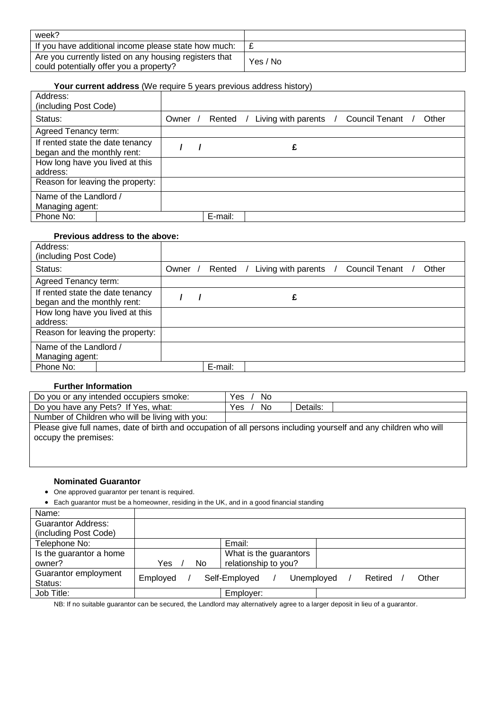| week?                                                                                             |          |
|---------------------------------------------------------------------------------------------------|----------|
| If you have additional income please state how much:                                              |          |
| Are you currently listed on any housing registers that<br>could potentially offer you a property? | Yes / No |

### **Your current address** (We require 5 years previous address history)

| Address:<br>(including Post Code)                               |         |          |                       |                  |       |
|-----------------------------------------------------------------|---------|----------|-----------------------|------------------|-------|
| Status:                                                         | Owner / | Rented / | Living with parents / | Council Tenant / | Other |
| Agreed Tenancy term:                                            |         |          |                       |                  |       |
| If rented state the date tenancy<br>began and the monthly rent: |         |          |                       |                  |       |
| How long have you lived at this<br>address:                     |         |          |                       |                  |       |
| Reason for leaving the property:                                |         |          |                       |                  |       |
| Name of the Landlord /                                          |         |          |                       |                  |       |
| Managing agent:                                                 |         |          |                       |                  |       |
| Phone No:                                                       |         | E-mail:  |                       |                  |       |

# **Previous address to the above:**

| Address:<br>(including Post Code)                               |                                  |         |         |                              |  |                       |       |
|-----------------------------------------------------------------|----------------------------------|---------|---------|------------------------------|--|-----------------------|-------|
| Status:                                                         |                                  | Owner / |         | Rented / Living with parents |  | <b>Council Tenant</b> | Other |
| Agreed Tenancy term:                                            |                                  |         |         |                              |  |                       |       |
| If rented state the date tenancy<br>began and the monthly rent: |                                  |         |         |                              |  |                       |       |
| How long have you lived at this<br>address:                     |                                  |         |         |                              |  |                       |       |
|                                                                 | Reason for leaving the property: |         |         |                              |  |                       |       |
| Name of the Landlord /<br>Managing agent:                       |                                  |         |         |                              |  |                       |       |
| Phone No:                                                       |                                  |         | E-mail: |                              |  |                       |       |

# **Further Information**

| Do you or any intended occupiers smoke:                                                                          | Yes<br>No  |          |
|------------------------------------------------------------------------------------------------------------------|------------|----------|
| Do you have any Pets? If Yes, what:                                                                              | No.<br>Yes | Details: |
| Number of Children who will be living with you:                                                                  |            |          |
| Please give full names, date of birth and occupation of all persons including yourself and any children who will |            |          |
| occupy the premises:                                                                                             |            |          |
|                                                                                                                  |            |          |
|                                                                                                                  |            |          |

### **Nominated Guarantor**

- One approved guarantor per tenant is required.
- Each guarantor must be a homeowner, residing in the UK, and in a good financial standing

| Name:                     |           |                             |         |       |
|---------------------------|-----------|-----------------------------|---------|-------|
| <b>Guarantor Address:</b> |           |                             |         |       |
| (including Post Code)     |           |                             |         |       |
| Telephone No:             |           | Email:                      |         |       |
| Is the guarantor a home   |           | What is the guarantors      |         |       |
| owner?                    | Yes<br>No | relationship to you?        |         |       |
| Guarantor employment      | Employed  | Self-Employed<br>Unemployed | Retired | Other |
| Status:                   |           |                             |         |       |
| Job Title:                |           | Employer:                   |         |       |

NB: If no suitable guarantor can be secured, the Landlord may alternatively agree to a larger deposit in lieu of a guarantor.